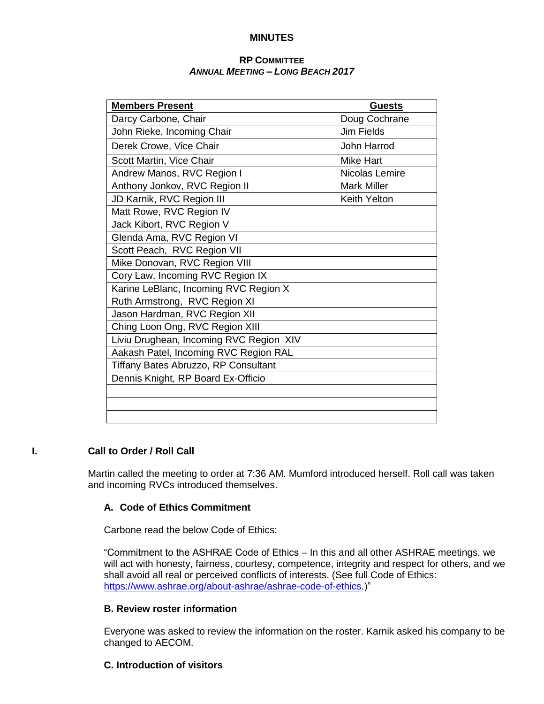# **MINUTES**

# **RP COMMITTEE** *ANNUAL MEETING – LONG BEACH 2017*

| <b>Members Present</b>                  | <b>Guests</b>       |  |
|-----------------------------------------|---------------------|--|
| Darcy Carbone, Chair                    | Doug Cochrane       |  |
| John Rieke, Incoming Chair              | <b>Jim Fields</b>   |  |
| Derek Crowe, Vice Chair                 | John Harrod         |  |
| Scott Martin, Vice Chair                | <b>Mike Hart</b>    |  |
| Andrew Manos, RVC Region I              | Nicolas Lemire      |  |
| Anthony Jonkov, RVC Region II           | <b>Mark Miller</b>  |  |
| JD Karnik, RVC Region III               | <b>Keith Yelton</b> |  |
| Matt Rowe, RVC Region IV                |                     |  |
| Jack Kibort, RVC Region V               |                     |  |
| Glenda Ama, RVC Region VI               |                     |  |
| Scott Peach, RVC Region VII             |                     |  |
| Mike Donovan, RVC Region VIII           |                     |  |
| Cory Law, Incoming RVC Region IX        |                     |  |
| Karine LeBlanc, Incoming RVC Region X   |                     |  |
| Ruth Armstrong, RVC Region XI           |                     |  |
| Jason Hardman, RVC Region XII           |                     |  |
| Ching Loon Ong, RVC Region XIII         |                     |  |
| Liviu Drughean, Incoming RVC Region XIV |                     |  |
| Aakash Patel, Incoming RVC Region RAL   |                     |  |
| Tiffany Bates Abruzzo, RP Consultant    |                     |  |
| Dennis Knight, RP Board Ex-Officio      |                     |  |
|                                         |                     |  |
|                                         |                     |  |
|                                         |                     |  |

# **I. Call to Order / Roll Call**

Martin called the meeting to order at 7:36 AM. Mumford introduced herself. Roll call was taken and incoming RVCs introduced themselves.

# **A. Code of Ethics Commitment**

Carbone read the below Code of Ethics:

"Commitment to the ASHRAE Code of Ethics – In this and all other ASHRAE meetings, we will act with honesty, fairness, courtesy, competence, integrity and respect for others, and we shall avoid all real or perceived conflicts of interests. (See full Code of Ethics: [https://www.ashrae.org/about-ashrae/ashrae-code-of-ethics.](https://www.ashrae.org/about-ashrae/ashrae-code-of-ethics))"

# **B. Review roster information**

Everyone was asked to review the information on the roster. Karnik asked his company to be changed to AECOM.

# **C. Introduction of visitors**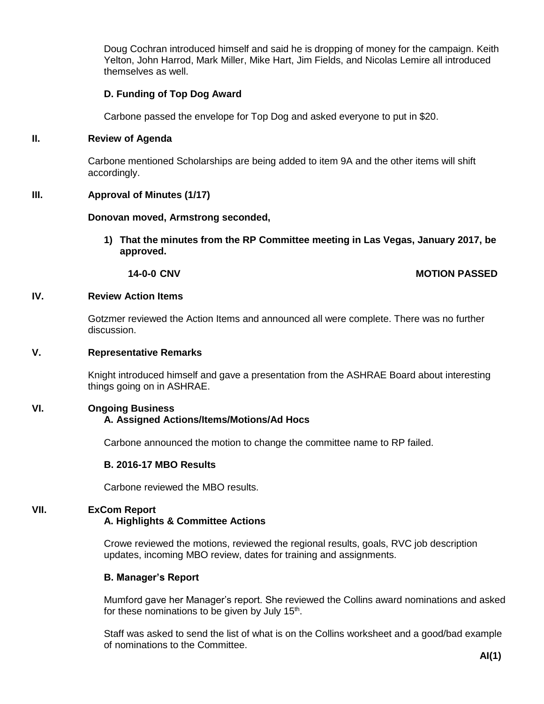Doug Cochran introduced himself and said he is dropping of money for the campaign. Keith Yelton, John Harrod, Mark Miller, Mike Hart, Jim Fields, and Nicolas Lemire all introduced themselves as well.

# **D. Funding of Top Dog Award**

Carbone passed the envelope for Top Dog and asked everyone to put in \$20.

# **II. Review of Agenda**

Carbone mentioned Scholarships are being added to item 9A and the other items will shift accordingly.

# **III. Approval of Minutes (1/17)**

# **Donovan moved, Armstrong seconded,**

**1) That the minutes from the RP Committee meeting in Las Vegas, January 2017, be approved.**

# **14-0-0 CNV MOTION PASSED**

# **IV. Review Action Items**

Gotzmer reviewed the Action Items and announced all were complete. There was no further discussion.

# **V. Representative Remarks**

Knight introduced himself and gave a presentation from the ASHRAE Board about interesting things going on in ASHRAE.

# **VI. Ongoing Business A. Assigned Actions/Items/Motions/Ad Hocs**

Carbone announced the motion to change the committee name to RP failed.

# **B. 2016-17 MBO Results**

Carbone reviewed the MBO results.

# **VII. ExCom Report A. Highlights & Committee Actions**

Crowe reviewed the motions, reviewed the regional results, goals, RVC job description updates, incoming MBO review, dates for training and assignments.

# **B. Manager's Report**

Mumford gave her Manager's report. She reviewed the Collins award nominations and asked for these nominations to be given by July 15<sup>th</sup>.

Staff was asked to send the list of what is on the Collins worksheet and a good/bad example of nominations to the Committee.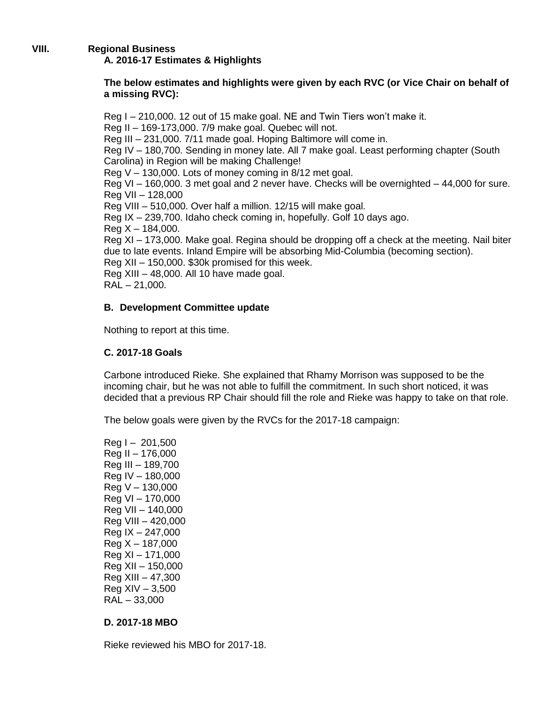# **VIII. Regional Business A. 2016-17 Estimates & Highlights**

# **The below estimates and highlights were given by each RVC (or Vice Chair on behalf of a missing RVC):**

Reg I – 210,000. 12 out of 15 make goal. NE and Twin Tiers won't make it. Reg II – 169-173,000. 7/9 make goal. Quebec will not. Reg III – 231,000. 7/11 made goal. Hoping Baltimore will come in. Reg IV – 180,700. Sending in money late. All 7 make goal. Least performing chapter (South Carolina) in Region will be making Challenge! Reg V – 130,000. Lots of money coming in 8/12 met goal. Reg VI – 160,000. 3 met goal and 2 never have. Checks will be overnighted – 44,000 for sure. Reg VII – 128,000 Reg VIII – 510,000. Over half a million. 12/15 will make goal. Reg IX – 239,700. Idaho check coming in, hopefully. Golf 10 days ago.  $Reg X - 184,000.$ Reg XI – 173,000. Make goal. Regina should be dropping off a check at the meeting. Nail biter due to late events. Inland Empire will be absorbing Mid-Columbia (becoming section). Reg XII – 150,000. \$30k promised for this week. Reg XIII – 48,000. All 10 have made goal.  $RAL - 21,000.$ 

# **B. Development Committee update**

Nothing to report at this time.

# **C. 2017-18 Goals**

Carbone introduced Rieke. She explained that Rhamy Morrison was supposed to be the incoming chair, but he was not able to fulfill the commitment. In such short noticed, it was decided that a previous RP Chair should fill the role and Rieke was happy to take on that role.

The below goals were given by the RVCs for the 2017-18 campaign:

 $Req I - 201,500$ Reg II – 176,000 Reg III – 189,700 Reg IV – 180,000 Reg V – 130,000 Reg VI – 170,000 Reg VII – 140,000 Reg VIII – 420,000 Reg IX – 247,000  $Reg X - 187,000$ Reg XI – 171,000 Reg XII – 150,000 Reg XIII – 47,300  $Req XIV - 3,500$ RAL – 33,000

# **D. 2017-18 MBO**

Rieke reviewed his MBO for 2017-18.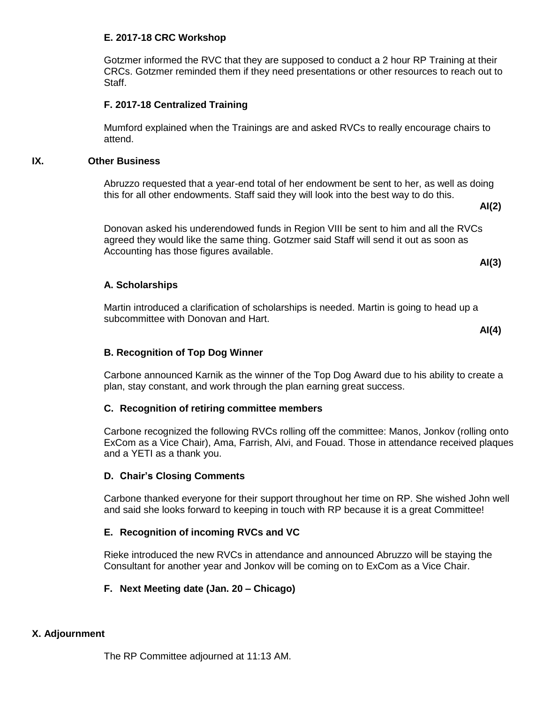# **E. 2017-18 CRC Workshop**

Gotzmer informed the RVC that they are supposed to conduct a 2 hour RP Training at their CRCs. Gotzmer reminded them if they need presentations or other resources to reach out to Staff.

# **F. 2017-18 Centralized Training**

Mumford explained when the Trainings are and asked RVCs to really encourage chairs to attend.

# **IX. Other Business**

Abruzzo requested that a year-end total of her endowment be sent to her, as well as doing this for all other endowments. Staff said they will look into the best way to do this.

Donovan asked his underendowed funds in Region VIII be sent to him and all the RVCs agreed they would like the same thing. Gotzmer said Staff will send it out as soon as Accounting has those figures available.

**AI(3)**

**AI(2)**

# **A. Scholarships**

Martin introduced a clarification of scholarships is needed. Martin is going to head up a subcommittee with Donovan and Hart.

**AI(4)**

# **B. Recognition of Top Dog Winner**

Carbone announced Karnik as the winner of the Top Dog Award due to his ability to create a plan, stay constant, and work through the plan earning great success.

# **C. Recognition of retiring committee members**

Carbone recognized the following RVCs rolling off the committee: Manos, Jonkov (rolling onto ExCom as a Vice Chair), Ama, Farrish, Alvi, and Fouad. Those in attendance received plaques and a YETI as a thank you.

# **D. Chair's Closing Comments**

Carbone thanked everyone for their support throughout her time on RP. She wished John well and said she looks forward to keeping in touch with RP because it is a great Committee!

# **E. Recognition of incoming RVCs and VC**

Rieke introduced the new RVCs in attendance and announced Abruzzo will be staying the Consultant for another year and Jonkov will be coming on to ExCom as a Vice Chair.

# **F. Next Meeting date (Jan. 20 – Chicago)**

# **X. Adjournment**

The RP Committee adjourned at 11:13 AM.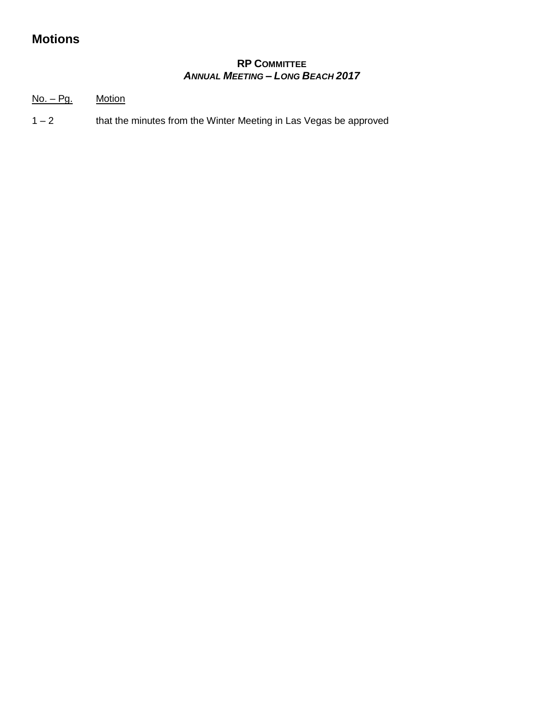# **Motions**

# **RP COMMITTEE ANNUAL MEETING - LONG BEACH 2017**

 $No. - *Pq*.$ **Motion** 

 $1 - 2$ that the minutes from the Winter Meeting in Las Vegas be approved